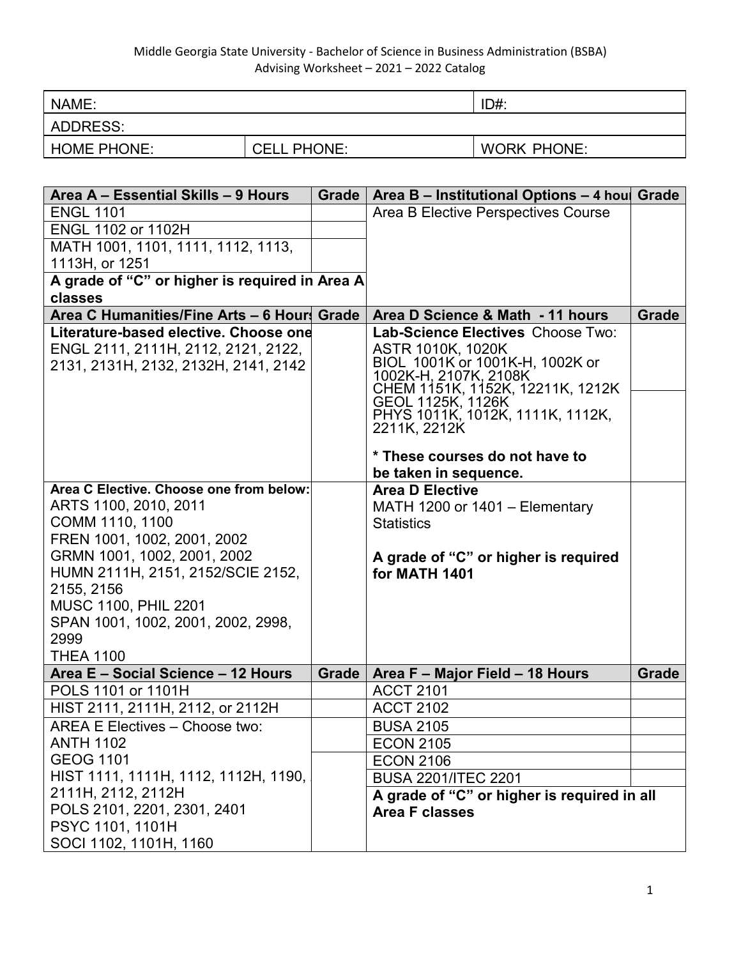| NAME:              |                    | ID#:               |
|--------------------|--------------------|--------------------|
| ADDRESS:           |                    |                    |
| <b>HOME PHONE:</b> | <b>CELL PHONE:</b> | <b>WORK PHONE:</b> |

| Area A – Essential Skills – 9 Hours            | Grade | Area B - Institutional Options - 4 houl Grade             |              |
|------------------------------------------------|-------|-----------------------------------------------------------|--------------|
| <b>ENGL 1101</b>                               |       | Area B Elective Perspectives Course                       |              |
| ENGL 1102 or 1102H                             |       |                                                           |              |
| MATH 1001, 1101, 1111, 1112, 1113,             |       |                                                           |              |
| 1113H, or 1251                                 |       |                                                           |              |
| A grade of "C" or higher is required in Area A |       |                                                           |              |
| classes                                        |       |                                                           |              |
| Area C Humanities/Fine Arts - 6 Hours Grade    |       | Area D Science & Math - 11 hours                          | <b>Grade</b> |
| Literature-based elective. Choose one          |       | Lab-Science Electives Choose Two:                         |              |
| ENGL 2111, 2111H, 2112, 2121, 2122,            |       | ASTR 1010K, 1020K                                         |              |
| 2131, 2131H, 2132, 2132H, 2141, 2142           |       | BIOL 1001K or 1001K-H, 1002K or                           |              |
|                                                |       | 1002K-H, 2107K, 2108K<br>CHEM 1151K, 1152K, 12211K, 1212K |              |
|                                                |       | GEOL 1125K, 1126K                                         |              |
|                                                |       | PHYS 1011K, 1012K, 1111K, 1112K,                          |              |
|                                                |       | 2211K, 2212K                                              |              |
|                                                |       | * These courses do not have to                            |              |
|                                                |       | be taken in sequence.                                     |              |
| Area C Elective. Choose one from below:        |       | <b>Area D Elective</b>                                    |              |
| ARTS 1100, 2010, 2011                          |       | MATH 1200 or 1401 - Elementary                            |              |
| COMM 1110, 1100                                |       | <b>Statistics</b>                                         |              |
| FREN 1001, 1002, 2001, 2002                    |       |                                                           |              |
| GRMN 1001, 1002, 2001, 2002                    |       | A grade of "C" or higher is required                      |              |
| HUMN 2111H, 2151, 2152/SCIE 2152,              |       | for MATH 1401                                             |              |
| 2155, 2156                                     |       |                                                           |              |
| <b>MUSC 1100, PHIL 2201</b>                    |       |                                                           |              |
| SPAN 1001, 1002, 2001, 2002, 2998,             |       |                                                           |              |
| 2999                                           |       |                                                           |              |
| <b>THEA 1100</b>                               |       |                                                           |              |
| Area E - Social Science - 12 Hours             | Grade | Area F - Major Field - 18 Hours                           | Grade        |
| POLS 1101 or 1101H                             |       | <b>ACCT 2101</b>                                          |              |
| HIST 2111, 2111H, 2112, or 2112H               |       | <b>ACCT 2102</b>                                          |              |
| <b>AREA E Electives - Choose two:</b>          |       | <b>BUSA 2105</b>                                          |              |
| <b>ANTH 1102</b>                               |       | <b>ECON 2105</b>                                          |              |
| <b>GEOG 1101</b>                               |       | <b>ECON 2106</b>                                          |              |
| HIST 1111, 1111H, 1112, 1112H, 1190,           |       | <b>BUSA 2201/ITEC 2201</b>                                |              |
| 2111H, 2112, 2112H                             |       | A grade of "C" or higher is required in all               |              |
| POLS 2101, 2201, 2301, 2401                    |       | Area F classes                                            |              |
| PSYC 1101, 1101H                               |       |                                                           |              |
| SOCI 1102, 1101H, 1160                         |       |                                                           |              |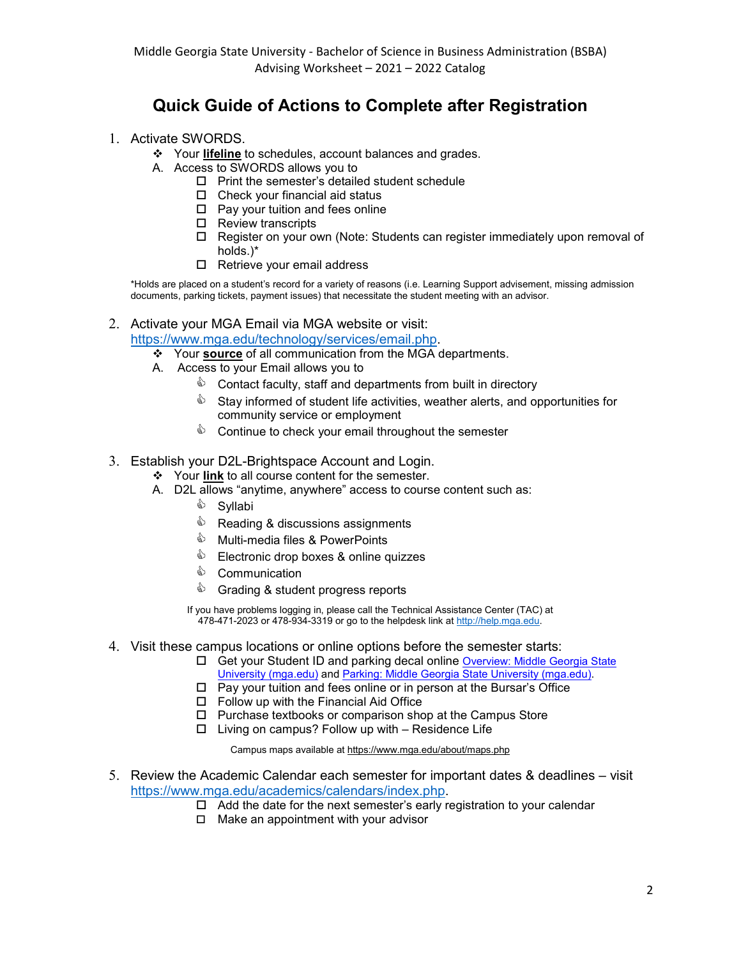# **Quick Guide of Actions to Complete after Registration**

- 1. Activate SWORDS.
	- Your **lifeline** to schedules, account balances and grades.
	- A. Access to SWORDS allows you to
		- $\Box$  Print the semester's detailed student schedule
		- $\Box$  Check your financial aid status
		- $\Box$  Pay your tuition and fees online
		- □ Review transcripts
		- Register on your own (Note: Students can register immediately upon removal of holds.)\*
		- □ Retrieve your email address

\*Holds are placed on a student's record for a variety of reasons (i.e. Learning Support advisement, missing admission documents, parking tickets, payment issues) that necessitate the student meeting with an advisor.

### 2. Activate your MGA Email via MGA website or visit:

[https://www.mga.edu/technology/services/email.php.](https://www.mga.edu/technology/services/email.php)

Your **source** of all communication from the MGA departments.

- A. Access to your Email allows you to
	- $\textcircled{\tiny{\textcircled{\tiny{}}}}$  Contact faculty, staff and departments from built in directory
	- $\mathbb \hat{\mathbb{S}}$  Stav informed of student life activities, weather alerts, and opportunities for community service or employment
	- $\Diamond$  Continue to check your email throughout the semester

#### 3. Establish your D2L-Brightspace Account and Login.

Your **link** to all course content for the semester.

- A. D2L allows "anytime, anywhere" access to course content such as:
	- <sup>ई</sup> Syllabi
	- $\Diamond$  Reading & discussions assignments
	- $\Diamond$  Multi-media files & PowerPoints
	- **Electronic drop boxes & online quizzes**
	- ♦ Communication
	- Stading & student progress reports

If you have problems logging in, please call the Technical Assistance Center (TAC) at  $478-471-2023$  or  $478-934-3319$  or go to the helpdesk link a[t http://help.mga.edu.](http://help.mga.edu/)

- 4. Visit these campus locations or online options before the semester starts:
	- Get your Student ID and parking decal online [Overview: Middle Georgia State](https://www.mga.edu/card/index.php)  [University \(mga.edu\)](https://www.mga.edu/card/index.php) and [Parking: Middle Georgia State University \(mga.edu\).](https://www.mga.edu/parking/index.php)
	- $\Box$  Pay your tuition and fees online or in person at the Bursar's Office
	- Follow up with the Financial Aid Office
	- $\Box$  Purchase textbooks or comparison shop at the Campus Store
	- $\Box$  Living on campus? Follow up with Residence Life

Campus maps available at https://www.mga.edu/about/maps.php

- 5. Review the Academic Calendar each semester for important dates & deadlines visit [https://www.mga.edu/academics/calendars/index.php.](https://www.mga.edu/academics/calendars/index.php)
	- $\Box$  Add the date for the next semester's early registration to your calendar
	- $\Box$  Make an appointment with your advisor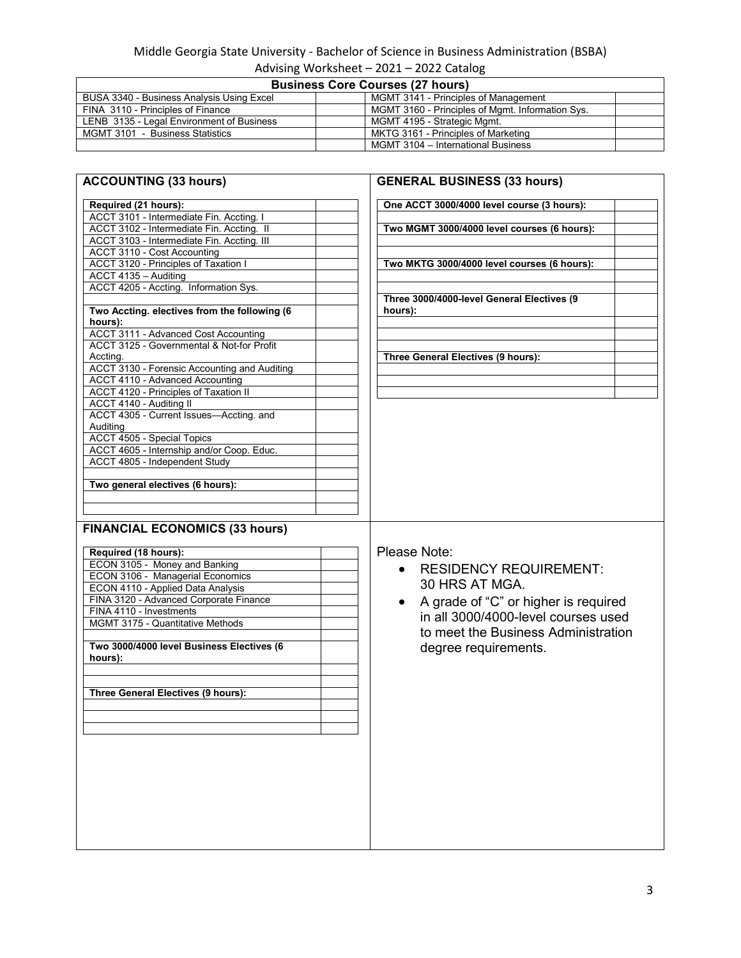### Middle Georgia State University - Bachelor of Science in Business Administration (BSBA)

| Advising Worksheet - 2021 - 2022 Catalog  |                                                  |  |
|-------------------------------------------|--------------------------------------------------|--|
| <b>Business Core Courses (27 hours)</b>   |                                                  |  |
| BUSA 3340 - Business Analysis Using Excel | MGMT 3141 - Principles of Management             |  |
| FINA 3110 - Principles of Finance         | MGMT 3160 - Principles of Mgmt. Information Sys. |  |
| LENB 3135 - Legal Environment of Business | MGMT 4195 - Strategic Mgmt.                      |  |
| MGMT 3101 - Business Statistics           | MKTG 3161 - Principles of Marketing              |  |
|                                           | MGMT 3104 - International Business               |  |

| Required (21 hours):                                                                                                                                                                                                                    | One ACCT 3000/4000 level course (3 hours):        |
|-----------------------------------------------------------------------------------------------------------------------------------------------------------------------------------------------------------------------------------------|---------------------------------------------------|
| ACCT 3101 - Intermediate Fin. Accting. I                                                                                                                                                                                                |                                                   |
| ACCT 3102 - Intermediate Fin. Accting. II                                                                                                                                                                                               | Two MGMT 3000/4000 level courses (6 hours):       |
| ACCT 3103 - Intermediate Fin. Accting. III                                                                                                                                                                                              |                                                   |
| ACCT 3110 - Cost Accounting                                                                                                                                                                                                             |                                                   |
| ACCT 3120 - Principles of Taxation I                                                                                                                                                                                                    | Two MKTG 3000/4000 level courses (6 hours):       |
| ACCT 4135 - Auditing                                                                                                                                                                                                                    |                                                   |
| ACCT 4205 - Accting. Information Sys.                                                                                                                                                                                                   |                                                   |
|                                                                                                                                                                                                                                         | Three 3000/4000-level General Electives (9        |
| Two Accting. electives from the following (6                                                                                                                                                                                            | hours):                                           |
| hours):                                                                                                                                                                                                                                 |                                                   |
| <b>ACCT 3111 - Advanced Cost Accounting</b>                                                                                                                                                                                             |                                                   |
| ACCT 3125 - Governmental & Not-for Profit                                                                                                                                                                                               |                                                   |
| Accting.                                                                                                                                                                                                                                | Three General Electives (9 hours):                |
| ACCT 3130 - Forensic Accounting and Auditing                                                                                                                                                                                            |                                                   |
| ACCT 4110 - Advanced Accounting                                                                                                                                                                                                         |                                                   |
| ACCT 4120 - Principles of Taxation II                                                                                                                                                                                                   |                                                   |
| ACCT 4140 - Auditing II                                                                                                                                                                                                                 |                                                   |
| ACCT 4305 - Current Issues-Accting. and                                                                                                                                                                                                 |                                                   |
| Auditing                                                                                                                                                                                                                                |                                                   |
| ACCT 4505 - Special Topics<br>ACCT 4605 - Internship and/or Coop. Educ.                                                                                                                                                                 |                                                   |
|                                                                                                                                                                                                                                         |                                                   |
|                                                                                                                                                                                                                                         |                                                   |
| ACCT 4805 - Independent Study                                                                                                                                                                                                           |                                                   |
|                                                                                                                                                                                                                                         |                                                   |
| Two general electives (6 hours):                                                                                                                                                                                                        |                                                   |
|                                                                                                                                                                                                                                         |                                                   |
|                                                                                                                                                                                                                                         |                                                   |
|                                                                                                                                                                                                                                         |                                                   |
|                                                                                                                                                                                                                                         | Please Note:                                      |
|                                                                                                                                                                                                                                         | <b>RESIDENCY REQUIREMENT:</b><br>$\bullet$        |
|                                                                                                                                                                                                                                         | 30 HRS AT MGA.                                    |
|                                                                                                                                                                                                                                         |                                                   |
|                                                                                                                                                                                                                                         | A grade of "C" or higher is required<br>$\bullet$ |
|                                                                                                                                                                                                                                         | in all 3000/4000-level courses used               |
| Required (18 hours):<br>ECON 3105 - Money and Banking<br>ECON 3106 - Managerial Economics<br>ECON 4110 - Applied Data Analysis<br>FINA 3120 - Advanced Corporate Finance<br>FINA 4110 - Investments<br>MGMT 3175 - Quantitative Methods | to meet the Business Administration               |
|                                                                                                                                                                                                                                         |                                                   |
| <b>FINANCIAL ECONOMICS (33 hours)</b><br>Two 3000/4000 level Business Electives (6<br>hours):                                                                                                                                           | degree requirements.                              |
|                                                                                                                                                                                                                                         |                                                   |
| Three General Electives (9 hours):                                                                                                                                                                                                      |                                                   |
|                                                                                                                                                                                                                                         |                                                   |
|                                                                                                                                                                                                                                         |                                                   |